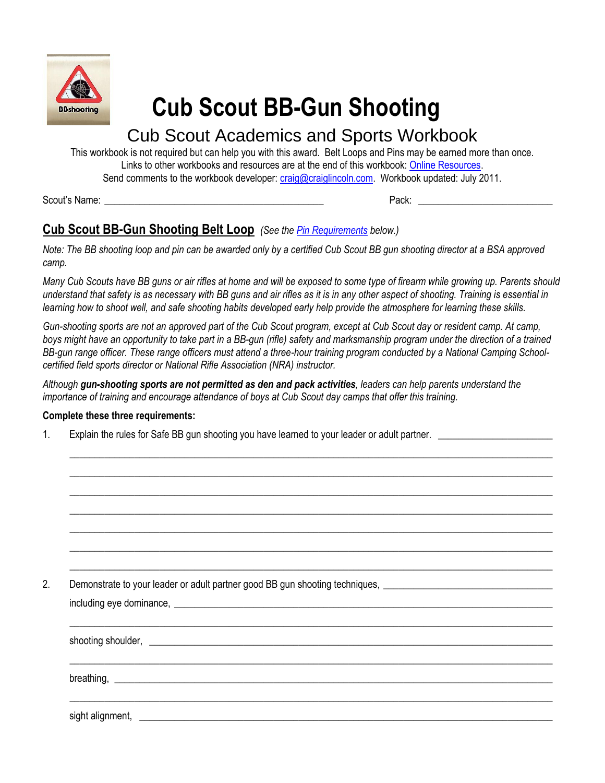

# **Cub Scout BB-Gun Shooting**

# Cub Scout Academics and Sports Workbook

This workbook is not required but can help you with this award. Belt Loops and Pins may be earned more than once. Links to other workbooks and resources are at the end of this workbook[: Online Resources.](#page-3-0) Send comments to the workbook developer: [craig@craiglincoln.com.](mailto:craig@craiglincoln.com) Workbook updated: July 2011.

Scout's Name: \_\_\_\_\_\_\_\_\_\_\_\_\_\_\_\_\_\_\_\_\_\_\_\_\_\_\_\_\_\_\_\_\_\_\_\_\_\_\_\_\_\_\_\_ Pack: \_\_\_\_\_\_\_\_\_\_\_\_\_\_\_\_\_\_\_\_\_\_\_\_\_\_\_

## **Cub Scout BB-Gun Shooting Belt Loop** *(See the [Pin Requirements](#page-1-0) below.)*

*Note: The BB shooting loop and pin can be awarded only by a certified Cub Scout BB gun shooting director at a BSA approved camp.*

*Many Cub Scouts have BB guns or air rifles at home and will be exposed to some type of firearm while growing up. Parents should understand that safety is as necessary with BB guns and air rifles as it is in any other aspect of shooting. Training is essential in learning how to shoot well, and safe shooting habits developed early help provide the atmosphere for learning these skills.* 

*Gun-shooting sports are not an approved part of the Cub Scout program, except at Cub Scout day or resident camp. At camp,*  boys might have an opportunity to take part in a BB-gun (rifle) safety and marksmanship program under the direction of a trained *BB-gun range officer. These range officers must attend a three-hour training program conducted by a National Camping Schoolcertified field sports director or National Rifle Association (NRA) instructor.* 

 $\_$  ,  $\_$  ,  $\_$  ,  $\_$  ,  $\_$  ,  $\_$  ,  $\_$  ,  $\_$  ,  $\_$  ,  $\_$  ,  $\_$  ,  $\_$  ,  $\_$  ,  $\_$  ,  $\_$  ,  $\_$  ,  $\_$  ,  $\_$  ,  $\_$  ,  $\_$  ,  $\_$  ,  $\_$  ,  $\_$  ,  $\_$  ,  $\_$  ,  $\_$  ,  $\_$  ,  $\_$  ,  $\_$  ,  $\_$  ,  $\_$  ,  $\_$  ,  $\_$  ,  $\_$  ,  $\_$  ,  $\_$  ,  $\_$  ,  $\_$  ,  $\_$  ,  $\_$  ,  $\_$  ,  $\_$  ,  $\_$  ,  $\_$  ,  $\_$  ,  $\_$  ,  $\_$  ,  $\_$  ,  $\_$  ,  $\_$  ,  $\_$  ,  $\_$  ,  $\_$  ,  $\_$  ,  $\_$  ,  $\_$  ,  $\_$  ,  $\_$  ,  $\_$  ,  $\_$  ,  $\_$  ,  $\_$  ,  $\_$  ,  $\_$  ,  $\_$  ,  $\_$  ,  $\_$  ,  $\_$  ,  $\_$  ,  $\_$  ,  $\_$  ,  $\_$  ,  $\_$  ,  $\_$  ,  $\_$  ,  $\_$  ,  $\_$  ,  $\_$  ,  $\_$  ,  $\_$  ,  $\_$  ,  $\_$  ,  $\_$  ,  $\_$  ,  $\_$  ,  $\_$  ,  $\_$  ,  $\_$  ,  $\_$  ,  $\_$  ,  $\_$  ,  $\_$  ,  $\_$  ,  $\_$  ,  $\_$  ,  $\_$  ,  $\_$  ,  $\_$  ,  $\_$  ,  $\_$  ,  $\_$  ,  $\_$  ,  $\_$  ,  $\_$  ,  $\_$  ,  $\_$  ,  $\_$  ,  $\_$  ,  $\_$  ,  $\_$  ,  $\_$  ,  $\_$  ,  $\_$  ,  $\_$  ,  $\_$  ,  $\_$  ,  $\_$  ,  $\_$  ,  $\_$  ,  $\_$  ,  $\_$  ,  $\_$  ,  $\_$  ,  $\_$  ,  $\_$  ,  $\_$  ,  $\_$  ,  $\_$  ,  $\_$  ,  $\_$  ,  $\_$  ,  $\_$  ,  $\_$  ,  $\_$  ,  $\_$  ,  $\_$  ,  $\_$  ,  $\_$  ,  $\_$  ,  $\_$  ,  $\_$  ,  $\_$  ,  $\_$  ,  $\_$  ,  $\_$  ,  $\_$  ,  $\_$  ,  $\_$  ,  $\_$  ,  $\_$  ,  $\_$  ,  $\_$  ,  $\_$  ,  $\_$  ,  $\_$  ,  $\_$  ,  $\_$  ,  $\_$  ,  $\_$  ,  $\_$  ,  $\_$  ,  $\_$  ,  $\_$  ,  $\_$  ,  $\_$  ,  $\_$  ,  $\_$  ,  $\_$  ,  $\_$  ,  $\_$  ,  $\_$  ,  $\_$  ,  $\_$  ,  $\_$  ,  $\_$  ,  $\_$  ,  $\_$  ,  $\_$  ,  $\_$  ,  $\_$  ,  $\_$  ,  $\_$  ,  $\_$  ,  $\_$  ,  $\_$  ,  $\_$  ,  $\_$  ,  $\_$  ,  $\_$  ,  $\_$  ,  $\_$  ,  $\_$  ,  $\_$  ,  $\_$  ,  $\_$  ,  $\_$  ,  $\_$  ,  $\_$  ,  $\_$  ,  $\_$  ,  $\_$  ,  $\_$  ,  $\_$  ,  $\_$  ,  $\_$  ,  $\_$  ,  $\_$  ,  $\_$  ,  $\_$  ,  $\_$  ,  $\_$  ,  $\_$  ,  $\_$  ,  $\_$  ,  $\_$  ,  $\_$  ,  $\_$  ,  $\_$  ,  $\_$  ,  $\_$  ,  $\_$  ,  $\_$  ,  $\_$  ,  $\_$  ,  $\_$  ,  $\_$  ,  $\_$  ,  $\_$  ,  $\_$  ,  $\_$  ,  $\_$  ,  $\_$  ,  $\_$  ,  $\_$  ,  $\_$  ,  $\_$  ,  $\_$  ,  $\_$  ,  $\_$  ,  $\_$  ,  $\_$  ,  $\_$  ,  $\_$  ,  $\_$  ,  $\_$  ,  $\_$  ,  $\_$  ,  $\_$  ,  $\_$  ,  $\_$  ,  $\_$  ,  $\_$  ,  $\_$  ,  $\_$  ,  $\_$  ,  $\_$  ,  $\_$  ,  $\_$  ,  $\_$  ,

*Although gun-shooting sports are not permitted as den and pack activities, leaders can help parents understand the importance of training and encourage attendance of boys at Cub Scout day camps that offer this training.* 

#### **Complete these three requirements:**

1. Explain the rules for Safe BB gun shooting you have learned to your leader or adult partner.

2. Demonstrate to your leader or adult partner good BB gun shooting techniques,

including eye dominance,  $\blacksquare$  $\_$  ,  $\_$  ,  $\_$  ,  $\_$  ,  $\_$  ,  $\_$  ,  $\_$  ,  $\_$  ,  $\_$  ,  $\_$  ,  $\_$  ,  $\_$  ,  $\_$  ,  $\_$  ,  $\_$  ,  $\_$  ,  $\_$  ,  $\_$  ,  $\_$  ,  $\_$  ,  $\_$  ,  $\_$  ,  $\_$  ,  $\_$  ,  $\_$  ,  $\_$  ,  $\_$  ,  $\_$  ,  $\_$  ,  $\_$  ,  $\_$  ,  $\_$  ,  $\_$  ,  $\_$  ,  $\_$  ,  $\_$  ,  $\_$  , shooting shoulder,  $\_$  ,  $\_$  ,  $\_$  ,  $\_$  ,  $\_$  ,  $\_$  ,  $\_$  ,  $\_$  ,  $\_$  ,  $\_$  ,  $\_$  ,  $\_$  ,  $\_$  ,  $\_$  ,  $\_$  ,  $\_$  ,  $\_$  ,  $\_$  ,  $\_$  ,  $\_$  ,  $\_$  ,  $\_$  ,  $\_$  ,  $\_$  ,  $\_$  ,  $\_$  ,  $\_$  ,  $\_$  ,  $\_$  ,  $\_$  ,  $\_$  ,  $\_$  ,  $\_$  ,  $\_$  ,  $\_$  ,  $\_$  ,  $\_$  ,  $b$ reathing,  $\Box$  $\_$  ,  $\_$  ,  $\_$  ,  $\_$  ,  $\_$  ,  $\_$  ,  $\_$  ,  $\_$  ,  $\_$  ,  $\_$  ,  $\_$  ,  $\_$  ,  $\_$  ,  $\_$  ,  $\_$  ,  $\_$  ,  $\_$  ,  $\_$  ,  $\_$  ,  $\_$  ,  $\_$  ,  $\_$  ,  $\_$  ,  $\_$  ,  $\_$  ,  $\_$  ,  $\_$  ,  $\_$  ,  $\_$  ,  $\_$  ,  $\_$  ,  $\_$  ,  $\_$  ,  $\_$  ,  $\_$  ,  $\_$  ,  $\_$  , sight alignment,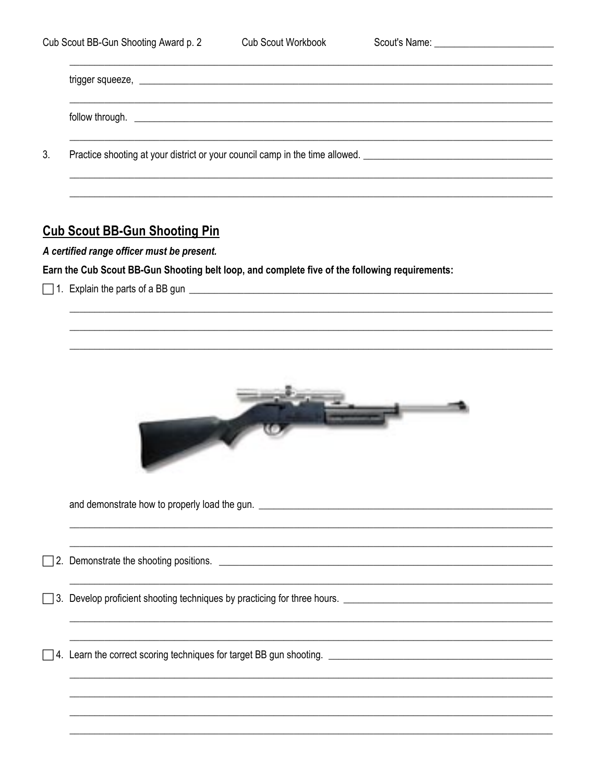| Practice shooting at your district or your council camp in the time allowed. ________________________________ |  |  |
|---------------------------------------------------------------------------------------------------------------|--|--|
|                                                                                                               |  |  |

### <span id="page-1-0"></span>**Cub Scout BB-Gun Shooting Pin**

A certified range officer must be present.

Earn the Cub Scout BB-Gun Shooting belt loop, and complete five of the following requirements:

1. Explain the parts of a BB gun

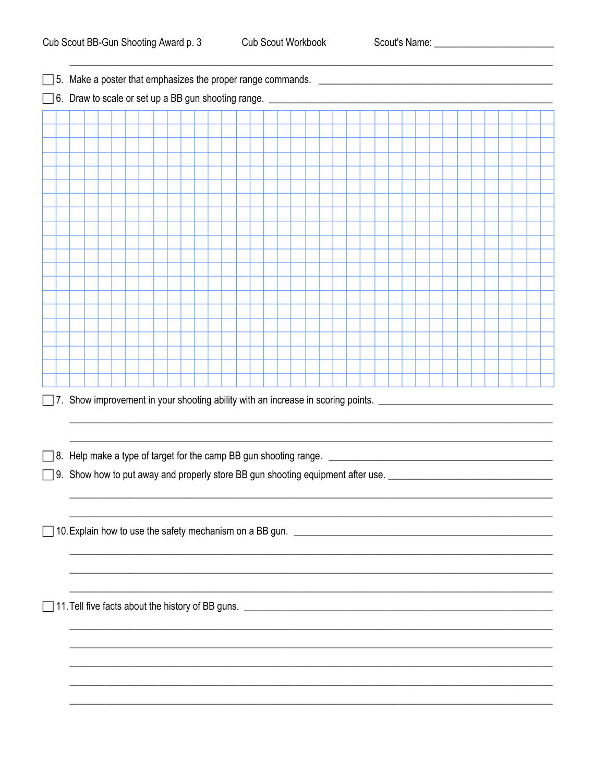Scout's Name: <u>\_\_\_\_\_\_\_\_\_\_\_\_\_\_\_\_\_\_\_\_\_\_\_\_\_\_\_\_\_\_\_\_\_</u>

|  |  |  | □ 8. Help make a type of target for the camp BB gun shooting range. <u>_____________________________</u> |  |  |  |  |  |  |  |  |  |  |  |  |  |  |  |
|--|--|--|----------------------------------------------------------------------------------------------------------|--|--|--|--|--|--|--|--|--|--|--|--|--|--|--|
|  |  |  |                                                                                                          |  |  |  |  |  |  |  |  |  |  |  |  |  |  |  |
|  |  |  |                                                                                                          |  |  |  |  |  |  |  |  |  |  |  |  |  |  |  |
|  |  |  |                                                                                                          |  |  |  |  |  |  |  |  |  |  |  |  |  |  |  |
|  |  |  |                                                                                                          |  |  |  |  |  |  |  |  |  |  |  |  |  |  |  |
|  |  |  |                                                                                                          |  |  |  |  |  |  |  |  |  |  |  |  |  |  |  |
|  |  |  |                                                                                                          |  |  |  |  |  |  |  |  |  |  |  |  |  |  |  |
|  |  |  |                                                                                                          |  |  |  |  |  |  |  |  |  |  |  |  |  |  |  |
|  |  |  |                                                                                                          |  |  |  |  |  |  |  |  |  |  |  |  |  |  |  |
|  |  |  |                                                                                                          |  |  |  |  |  |  |  |  |  |  |  |  |  |  |  |
|  |  |  |                                                                                                          |  |  |  |  |  |  |  |  |  |  |  |  |  |  |  |
|  |  |  |                                                                                                          |  |  |  |  |  |  |  |  |  |  |  |  |  |  |  |
|  |  |  |                                                                                                          |  |  |  |  |  |  |  |  |  |  |  |  |  |  |  |
|  |  |  |                                                                                                          |  |  |  |  |  |  |  |  |  |  |  |  |  |  |  |
|  |  |  |                                                                                                          |  |  |  |  |  |  |  |  |  |  |  |  |  |  |  |